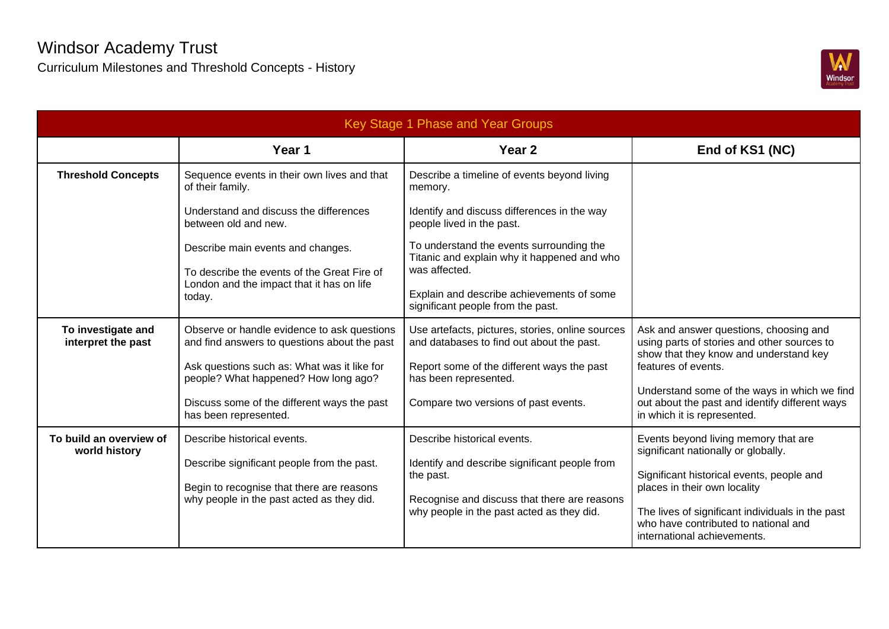

| Key Stage 1 Phase and Year Groups        |                                                                                                    |                                                                                                          |                                                                                                                                                        |  |  |  |
|------------------------------------------|----------------------------------------------------------------------------------------------------|----------------------------------------------------------------------------------------------------------|--------------------------------------------------------------------------------------------------------------------------------------------------------|--|--|--|
|                                          | Year 1                                                                                             | Year 2                                                                                                   | End of KS1 (NC)                                                                                                                                        |  |  |  |
| <b>Threshold Concepts</b>                | Sequence events in their own lives and that<br>of their family.                                    | Describe a timeline of events beyond living<br>memory.                                                   |                                                                                                                                                        |  |  |  |
|                                          | Understand and discuss the differences<br>between old and new.                                     | Identify and discuss differences in the way<br>people lived in the past.                                 |                                                                                                                                                        |  |  |  |
|                                          | Describe main events and changes.                                                                  | To understand the events surrounding the<br>Titanic and explain why it happened and who<br>was affected. |                                                                                                                                                        |  |  |  |
|                                          | To describe the events of the Great Fire of<br>London and the impact that it has on life<br>today. | Explain and describe achievements of some<br>significant people from the past.                           |                                                                                                                                                        |  |  |  |
| To investigate and<br>interpret the past | Observe or handle evidence to ask questions<br>and find answers to questions about the past        | Use artefacts, pictures, stories, online sources<br>and databases to find out about the past.            | Ask and answer questions, choosing and<br>using parts of stories and other sources to<br>show that they know and understand key<br>features of events. |  |  |  |
|                                          | Ask questions such as: What was it like for<br>people? What happened? How long ago?                | Report some of the different ways the past<br>has been represented.                                      |                                                                                                                                                        |  |  |  |
|                                          | Discuss some of the different ways the past<br>has been represented.                               | Compare two versions of past events.                                                                     | Understand some of the ways in which we find<br>out about the past and identify different ways<br>in which it is represented.                          |  |  |  |
| To build an overview of<br>world history | Describe historical events.                                                                        | Describe historical events.                                                                              | Events beyond living memory that are<br>significant nationally or globally.                                                                            |  |  |  |
|                                          | Describe significant people from the past.<br>Begin to recognise that there are reasons            | Identify and describe significant people from<br>the past.                                               | Significant historical events, people and<br>places in their own locality                                                                              |  |  |  |
|                                          | why people in the past acted as they did.                                                          | Recognise and discuss that there are reasons<br>why people in the past acted as they did.                | The lives of significant individuals in the past<br>who have contributed to national and<br>international achievements.                                |  |  |  |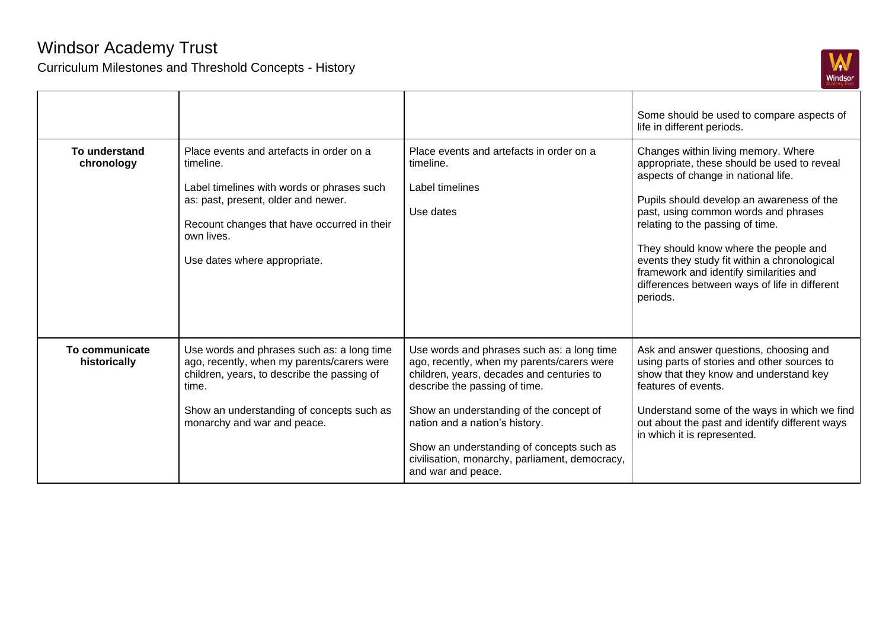

|                                |                                                                                                                                                                                                                                         |                                                                                                                                                                                                                                                                                                                                                                          | Some should be used to compare aspects of<br>life in different periods.                                                                                                                                                                                                                                                                                                                                                                             |
|--------------------------------|-----------------------------------------------------------------------------------------------------------------------------------------------------------------------------------------------------------------------------------------|--------------------------------------------------------------------------------------------------------------------------------------------------------------------------------------------------------------------------------------------------------------------------------------------------------------------------------------------------------------------------|-----------------------------------------------------------------------------------------------------------------------------------------------------------------------------------------------------------------------------------------------------------------------------------------------------------------------------------------------------------------------------------------------------------------------------------------------------|
| To understand<br>chronology    | Place events and artefacts in order on a<br>timeline.<br>Label timelines with words or phrases such<br>as: past, present, older and newer.<br>Recount changes that have occurred in their<br>own lives.<br>Use dates where appropriate. | Place events and artefacts in order on a<br>timeline.<br>Label timelines<br>Use dates                                                                                                                                                                                                                                                                                    | Changes within living memory. Where<br>appropriate, these should be used to reveal<br>aspects of change in national life.<br>Pupils should develop an awareness of the<br>past, using common words and phrases<br>relating to the passing of time.<br>They should know where the people and<br>events they study fit within a chronological<br>framework and identify similarities and<br>differences between ways of life in different<br>periods. |
| To communicate<br>historically | Use words and phrases such as: a long time<br>ago, recently, when my parents/carers were<br>children, years, to describe the passing of<br>time.<br>Show an understanding of concepts such as<br>monarchy and war and peace.            | Use words and phrases such as: a long time<br>ago, recently, when my parents/carers were<br>children, years, decades and centuries to<br>describe the passing of time.<br>Show an understanding of the concept of<br>nation and a nation's history.<br>Show an understanding of concepts such as<br>civilisation, monarchy, parliament, democracy,<br>and war and peace. | Ask and answer questions, choosing and<br>using parts of stories and other sources to<br>show that they know and understand key<br>features of events.<br>Understand some of the ways in which we find<br>out about the past and identify different ways<br>in which it is represented.                                                                                                                                                             |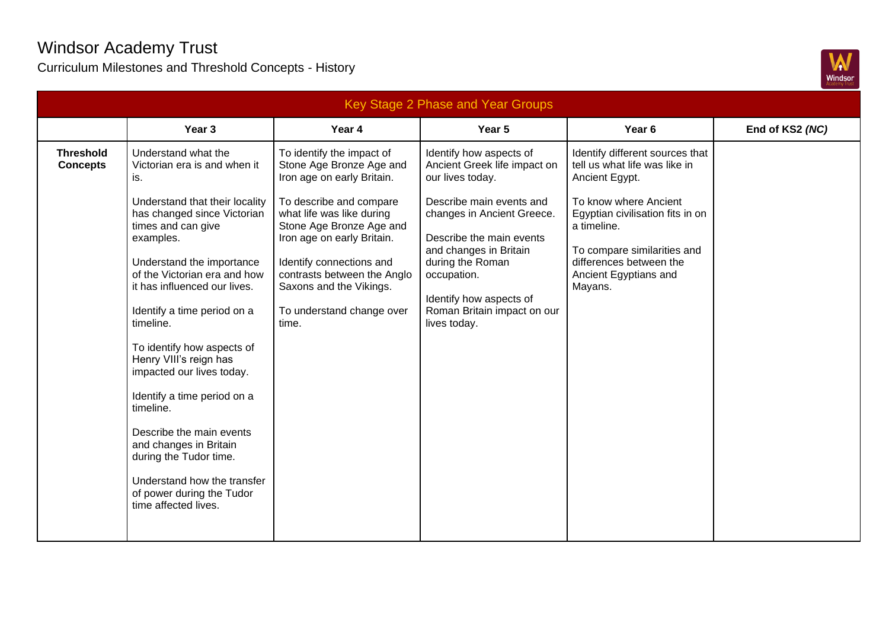

| Key Stage 2 Phase and Year Groups   |                                                                                                                                                                                                                                                                                                                                                                                                                                                                                                                                                                                                              |                                                                                                                                                                                                                                                                                                                                   |                                                                                                                                                                                                                                                                                                          |                                                                                                                                                                                                                                                              |                 |  |
|-------------------------------------|--------------------------------------------------------------------------------------------------------------------------------------------------------------------------------------------------------------------------------------------------------------------------------------------------------------------------------------------------------------------------------------------------------------------------------------------------------------------------------------------------------------------------------------------------------------------------------------------------------------|-----------------------------------------------------------------------------------------------------------------------------------------------------------------------------------------------------------------------------------------------------------------------------------------------------------------------------------|----------------------------------------------------------------------------------------------------------------------------------------------------------------------------------------------------------------------------------------------------------------------------------------------------------|--------------------------------------------------------------------------------------------------------------------------------------------------------------------------------------------------------------------------------------------------------------|-----------------|--|
|                                     | Year 3                                                                                                                                                                                                                                                                                                                                                                                                                                                                                                                                                                                                       | Year 4                                                                                                                                                                                                                                                                                                                            | Year 5                                                                                                                                                                                                                                                                                                   | Year <sub>6</sub>                                                                                                                                                                                                                                            | End of KS2 (NC) |  |
| <b>Threshold</b><br><b>Concepts</b> | Understand what the<br>Victorian era is and when it<br>is.<br>Understand that their locality<br>has changed since Victorian<br>times and can give<br>examples.<br>Understand the importance<br>of the Victorian era and how<br>it has influenced our lives.<br>Identify a time period on a<br>timeline.<br>To identify how aspects of<br>Henry VIII's reign has<br>impacted our lives today.<br>Identify a time period on a<br>timeline.<br>Describe the main events<br>and changes in Britain<br>during the Tudor time.<br>Understand how the transfer<br>of power during the Tudor<br>time affected lives. | To identify the impact of<br>Stone Age Bronze Age and<br>Iron age on early Britain.<br>To describe and compare<br>what life was like during<br>Stone Age Bronze Age and<br>Iron age on early Britain.<br>Identify connections and<br>contrasts between the Anglo<br>Saxons and the Vikings.<br>To understand change over<br>time. | Identify how aspects of<br>Ancient Greek life impact on<br>our lives today.<br>Describe main events and<br>changes in Ancient Greece.<br>Describe the main events<br>and changes in Britain<br>during the Roman<br>occupation.<br>Identify how aspects of<br>Roman Britain impact on our<br>lives today. | Identify different sources that<br>tell us what life was like in<br>Ancient Egypt.<br>To know where Ancient<br>Egyptian civilisation fits in on<br>a timeline.<br>To compare similarities and<br>differences between the<br>Ancient Egyptians and<br>Mayans. |                 |  |
|                                     |                                                                                                                                                                                                                                                                                                                                                                                                                                                                                                                                                                                                              |                                                                                                                                                                                                                                                                                                                                   |                                                                                                                                                                                                                                                                                                          |                                                                                                                                                                                                                                                              |                 |  |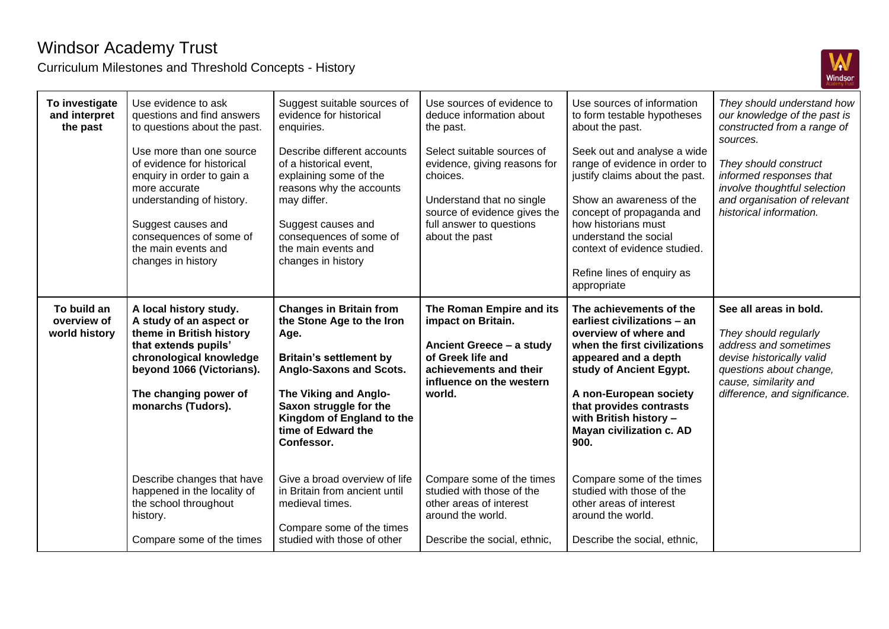

| To investigate<br>and interpret<br>the past | Use evidence to ask<br>questions and find answers<br>to questions about the past.<br>Use more than one source<br>of evidence for historical<br>enquiry in order to gain a<br>more accurate<br>understanding of history.<br>Suggest causes and<br>consequences of some of<br>the main events and<br>changes in history | Suggest suitable sources of<br>evidence for historical<br>enquiries.<br>Describe different accounts<br>of a historical event.<br>explaining some of the<br>reasons why the accounts<br>may differ.<br>Suggest causes and<br>consequences of some of<br>the main events and<br>changes in history | Use sources of evidence to<br>deduce information about<br>the past.<br>Select suitable sources of<br>evidence, giving reasons for<br>choices.<br>Understand that no single<br>source of evidence gives the<br>full answer to questions<br>about the past | Use sources of information<br>to form testable hypotheses<br>about the past.<br>Seek out and analyse a wide<br>range of evidence in order to<br>justify claims about the past.<br>Show an awareness of the<br>concept of propaganda and<br>how historians must<br>understand the social<br>context of evidence studied.<br>Refine lines of enquiry as<br>appropriate | They should understand how<br>our knowledge of the past is<br>constructed from a range of<br>sources.<br>They should construct<br>informed responses that<br>involve thoughtful selection<br>and organisation of relevant<br>historical information. |
|---------------------------------------------|-----------------------------------------------------------------------------------------------------------------------------------------------------------------------------------------------------------------------------------------------------------------------------------------------------------------------|--------------------------------------------------------------------------------------------------------------------------------------------------------------------------------------------------------------------------------------------------------------------------------------------------|----------------------------------------------------------------------------------------------------------------------------------------------------------------------------------------------------------------------------------------------------------|----------------------------------------------------------------------------------------------------------------------------------------------------------------------------------------------------------------------------------------------------------------------------------------------------------------------------------------------------------------------|------------------------------------------------------------------------------------------------------------------------------------------------------------------------------------------------------------------------------------------------------|
| To build an<br>overview of<br>world history | A local history study.<br>A study of an aspect or<br>theme in British history<br>that extends pupils'<br>chronological knowledge<br>beyond 1066 (Victorians).<br>The changing power of<br>monarchs (Tudors).                                                                                                          | <b>Changes in Britain from</b><br>the Stone Age to the Iron<br>Age.<br><b>Britain's settlement by</b><br>Anglo-Saxons and Scots.<br>The Viking and Anglo-<br>Saxon struggle for the<br>Kingdom of England to the<br>time of Edward the<br>Confessor.                                             | The Roman Empire and its<br>impact on Britain.<br>Ancient Greece - a study<br>of Greek life and<br>achievements and their<br>influence on the western<br>world.                                                                                          | The achievements of the<br>earliest civilizations - an<br>overview of where and<br>when the first civilizations<br>appeared and a depth<br>study of Ancient Egypt.<br>A non-European society<br>that provides contrasts<br>with British history -<br><b>Mayan civilization c. AD</b><br>900.                                                                         | See all areas in bold.<br>They should regularly<br>address and sometimes<br>devise historically valid<br>questions about change,<br>cause, similarity and<br>difference, and significance.                                                           |
|                                             | Describe changes that have<br>happened in the locality of<br>the school throughout<br>history.<br>Compare some of the times                                                                                                                                                                                           | Give a broad overview of life<br>in Britain from ancient until<br>medieval times.<br>Compare some of the times<br>studied with those of other                                                                                                                                                    | Compare some of the times<br>studied with those of the<br>other areas of interest<br>around the world.<br>Describe the social, ethnic,                                                                                                                   | Compare some of the times<br>studied with those of the<br>other areas of interest<br>around the world.<br>Describe the social, ethnic,                                                                                                                                                                                                                               |                                                                                                                                                                                                                                                      |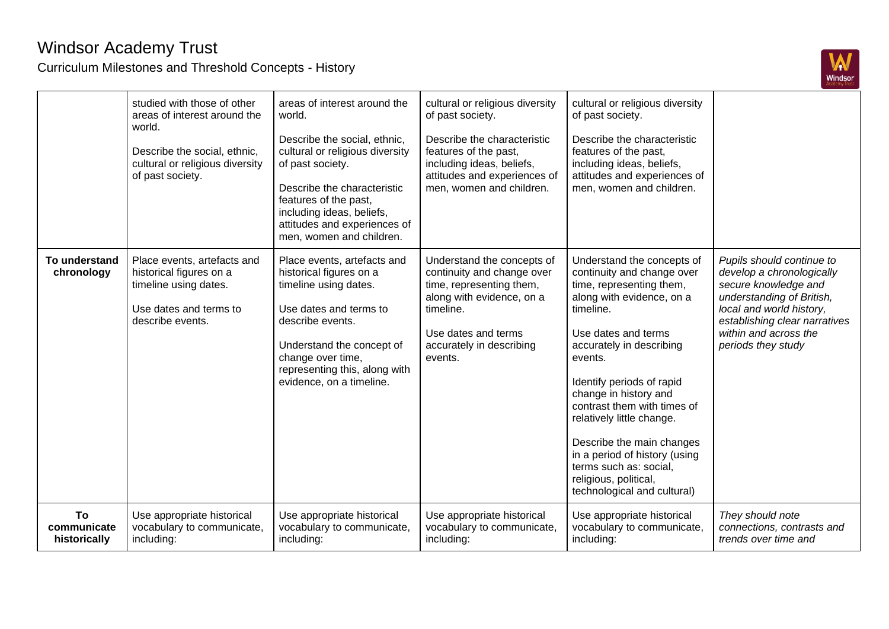

|                                   | studied with those of other<br>areas of interest around the<br>world.<br>Describe the social, ethnic,<br>cultural or religious diversity<br>of past society. | areas of interest around the<br>world.<br>Describe the social, ethnic,<br>cultural or religious diversity<br>of past society.<br>Describe the characteristic<br>features of the past,<br>including ideas, beliefs,<br>attitudes and experiences of<br>men, women and children. | cultural or religious diversity<br>of past society.<br>Describe the characteristic<br>features of the past,<br>including ideas, beliefs,<br>attitudes and experiences of<br>men, women and children. | cultural or religious diversity<br>of past society.<br>Describe the characteristic<br>features of the past,<br>including ideas, beliefs,<br>attitudes and experiences of<br>men, women and children.                                                                                                                                                                                                                                                           |                                                                                                                                                                                                                         |
|-----------------------------------|--------------------------------------------------------------------------------------------------------------------------------------------------------------|--------------------------------------------------------------------------------------------------------------------------------------------------------------------------------------------------------------------------------------------------------------------------------|------------------------------------------------------------------------------------------------------------------------------------------------------------------------------------------------------|----------------------------------------------------------------------------------------------------------------------------------------------------------------------------------------------------------------------------------------------------------------------------------------------------------------------------------------------------------------------------------------------------------------------------------------------------------------|-------------------------------------------------------------------------------------------------------------------------------------------------------------------------------------------------------------------------|
| To understand<br>chronology       | Place events, artefacts and<br>historical figures on a<br>timeline using dates.<br>Use dates and terms to<br>describe events.                                | Place events, artefacts and<br>historical figures on a<br>timeline using dates.<br>Use dates and terms to<br>describe events.<br>Understand the concept of<br>change over time,<br>representing this, along with<br>evidence, on a timeline.                                   | Understand the concepts of<br>continuity and change over<br>time, representing them,<br>along with evidence, on a<br>timeline.<br>Use dates and terms<br>accurately in describing<br>events.         | Understand the concepts of<br>continuity and change over<br>time, representing them,<br>along with evidence, on a<br>timeline.<br>Use dates and terms<br>accurately in describing<br>events.<br>Identify periods of rapid<br>change in history and<br>contrast them with times of<br>relatively little change.<br>Describe the main changes<br>in a period of history (using<br>terms such as: social,<br>religious, political,<br>technological and cultural) | Pupils should continue to<br>develop a chronologically<br>secure knowledge and<br>understanding of British,<br>local and world history,<br>establishing clear narratives<br>within and across the<br>periods they study |
| To<br>communicate<br>historically | Use appropriate historical<br>vocabulary to communicate,<br>including:                                                                                       | Use appropriate historical<br>vocabulary to communicate,<br>including:                                                                                                                                                                                                         | Use appropriate historical<br>vocabulary to communicate,<br>including:                                                                                                                               | Use appropriate historical<br>vocabulary to communicate,<br>including:                                                                                                                                                                                                                                                                                                                                                                                         | They should note<br>connections, contrasts and<br>trends over time and                                                                                                                                                  |